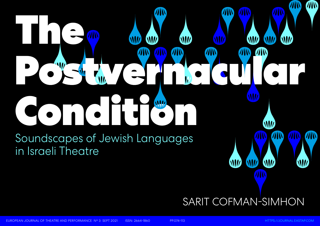# **WH**  $\bullet$  )  $\bullet$

TIN



EUROPEAN JOURNAL OF THEATRE AND PERFORMANCE N° 3 SEPT 2021 ISSN: 2664-1860 PP.074-113 [HTTPS://JOURNAL.EASTAP.COM](https://journal.eastap.com)

W

WN

Soundscapes of Jewish Languages in Israeli Theatre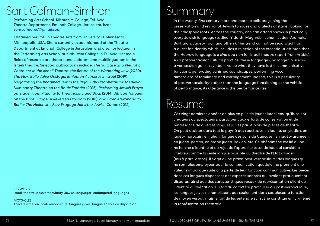## Summary

In the twenty-first century more and more Israelis are joining the preservation and revival of Jewish tongues and dialects onstage, looking for their diasporic roots. Across the country, one can attend shows in practically every Jewish language (Ladino, Yiddish, Maghrebi, Juhuri, Judeo-Aramaic, Bukharan, Judeo-Iraqi, and others). This trend cannot be separated from a quest for identity which includes a rejection of the essentialist attitude that the Hebrew language is a *sine qua non* for Israeli theatre (apart from Arabic). As a postvernacular cultural practice, these languages, no longer in use as a vernacular, gain in symbolic value what they have lost in communicative functions: generating vanished soundscapes, performing vocal dimensions of familiarity and estrangement. Indeed, this is a peculiarity of postvernacularity: rather than the language functioning as the vehicle of performance, its utterance is the performance itself.

## Résumé

Ces vingt dernières années de plus en plus de jeunes Israéliens, qu'ils soient créateurs ou spectateurs, participent aux efforts de conservation et de renaissance de diverses langues juives par le biais de pièces de théâtre. On peut assister dans tout le pays à des spectacles en ladino, en yiddish, en judéo-marocain, en juhuri (langue des Juifs du Caucase), en judéo-araméen, en judéo-persan, en arabe judéo-irakien, etc. Ce phénomène est lié à une recherche d'identité et au rejet de l'approche essentialiste qui considère l'hébreu comme la seule langue possible du théâtre de l'Etat d'Israël (mis à part l'arabe). Il s'agit d'une praxis post-vernaculaire; des langues qui ne sont plus employées pour la communication quotidienne prennent une valeur symbolique suite à la perte de leur fonction communicative. Les pièces dans ces langues dispensent des espaces sonores qui avaient pratiquement disparus, ainsi que des caractéristiques vocaux de représentation allant de l'identité à l'aliénation. Du fait du caractère particulier du post-vernaculaire, les langues juives ne remplissent pas seulement dans ces pièces la fonction de moyen verbal, mais le fait de les entendre sur scène constitue en lui-même la représentation théâtrale.

**KEYWORDS** Israeli theatre, postvernacularity, Jewish languages, endangered languages

## Sarit Cofman-Simhon

Performing Arts School, Kibbutzim College, Tel-Aviv, Theatre Department, Emunah College, Jerusalem, Israel *[saritcofman67@gmail.com](mailto:saritcofman67%40gmail.com?subject=)*

Obtained her PhD in Theatre Arts from University of Minnesota, Minneapolis, USA. She is currently academic head of the Theatre Department at Emunah College in Jerusalem and a senior lecturer in the Performing Arts School at Kibbutzim College in Tel Aviv. Her main fields of research are theatre and Judaism, and multilingualism in the Israeli theatre. Selected publications include: *The Suitcase as a Neurotic Container in the Israeli Theatre: the Return of the Wandering Jew* (2020), *The New Belle Juive Onstage: Ethiopian Actresses in Israel* (2019), *Negotiating the Imagined Jew in the Riga Ludus Prophetarum: Medieval Missionary Theatre on the Baltic Frontier* (2015), *Performing Jewish Prayer on Stage: From Rituality to Theatricality and Back* (2014), *African Tongues on the Israeli Stage: A Reversed Diaspora* (2013), and *From Alexandria to Berlin: The Hellenistic Play Exagoge Joins the Jewish Canon* (2012).

MOTS-CLÉS Théâtre israélien, post-vernaculaire, langues juives, langue en voie de disparition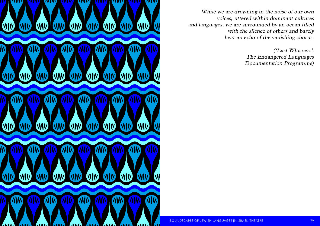

While we are drowning in the noise of our own voices, uttered within dominant cultures and languages, we are surrounded by an ocean filled with the silence of others and barely hear an echo of the vanishing chorus.

**SOUNDSCAPES OF JEWISH LANGUAGES IN ISRAELI THEATRE** And Multiplinant SoundsCAPES OF JEWISH LANGUAGES IN ISRAELI THEATRE

('Last Whispers'. The Endangered Languages Documentation Programme)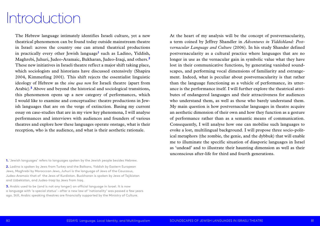At the heart of my analysis will be the concept of postvernacularity, a term coined by Jeffrey Shandler in *Adventures in Yiddishland: Postvernacular Language and Culture* (2006). In his study Shander defined postvernacularity as a cultural practice where languages that are no longer in use as the vernacular gain in symbolic value what they have lost in their communicative functions, by generating vanished soundscapes, and performing vocal dimensions of familiarity and estrangement. Indeed, what is peculiar about postvernacularity is that rather than the language functioning as a vehicle of performance, its utterance is the performance itself. I will further explore the theatrical attributes of endangered languages and their attractiveness for audiences who understand them, as well as those who barely understand them. My main question is how postvernacular languages in theatre acquire an aesthetic dimension of their own and how they function as a gesture of performance rather than as a semantic means of communication. Consequently, I will analyse how one can mobilise such languages to evoke a lost, multilingual background. I will propose three socio-political metaphors (the zombie, the genie, and the dybbuk) that will enable me to illuminate the specific situation of diasporic languages in Israel as 'undead' and to illustrate their haunting dimension as well as their unconscious after-life for third and fourth generations.

The Hebrew language intimately identifies Israeli culture, yet a new theatrical phenomenon can be found today outside mainstream theatre in Israel: across the country one can attend theatrical productions in practically every other Jewish language<sup>1</sup> such as Ladino, Yiddish, Maghrebi, Juhuri, Judeo-Aramaic, Bukharan, Judeo-Iraqi, and others.**<sup>2</sup>** These new initiatives in Israeli theatre reflect a major shift taking place, which sociologists and historians have discussed extensively (Shapira 2004, Kimmerling 2001). This shift rejects the essentialist linguistic ideology of Hebrew as the *sine qua non* for Israeli theatre (apart from Arabic).**<sup>3</sup>** Above and beyond the historical and sociological transitions, this phenomenon opens up a new category of performances, which I would like to examine and conceptualise: theatre productions in Jewish languages that are on the verge of extinction. Basing my current essay on case-studies that are in my view key phenomena, I will analyse performances and interviews with audiences and founders of various theatres and explore how these languages operate onstage, what is their reception, who is the audience, and what is their aesthetic rationale.

**1.** 'Jewish languages' refers to languages spoken by the Jewish people besides Hebrew.

**2.** Ladino is spoken by Jews from Turkey and the Balkans, Yiddish by Eastern European Jews, Maghrebi by Morocccan Jews, Juhuri is the language of Jews of the Caucasus, Judeo-Aramaic that of the Jews of Kurdistan. Buckharan is spoken by Jews of Tajikistan and Uzbekistan, and Judeo-Iraqi by Jews from Iraq.

**3.** Arabic used to be (and is not any longer) an official language in Israel. It is now a language with 'a special status' – after a new law of 'nationality' was passed a few years ago. Still, Arabic speaking theatres are financially supported by the Ministry of Culture.

# Introduction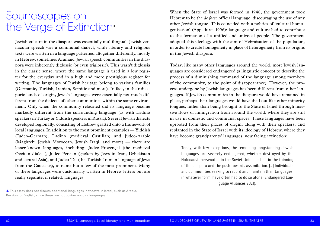When the State of Israel was formed in 1948, the government took Hebrew to be the *de facto* official language, discouraging the use of any other Jewish tongue. This coincided with a politics of 'cultural homogenisation' (Appadurai 1996): language and culture had to contribute to the formation of a unified and univocal people. The government adopted this ideology with the aim of Hebraisation of the population, in order to create homogeneity in place of heterogeneity from its origins in the Jewish diaspora.

Today, like many other languages around the world, most Jewish languages are considered endangered (a linguistic concept to describe the process of a diminishing command of the language among members of the community, to the point of disappearance). However, the process undergone by Jewish languages has been different from other languages. If Jewish communities in the diaspora would have remained in place, perhaps their languages would have died out like other minority tongues, rather than being brought to the State of Israel through massive flows of immigration from around the world, where they are still in use in domestic and communal spaces. These languages have been uprooted from their places of origin, along with their speakers, and replanted in the State of Israel with its ideology of Hebrew, where they have become grandparents' languages, now facing extinction:

Today, with few exceptions, the remaining longstanding Jewish languages are severely endangered, whether destroyed by the Holocaust, persecuted in the Soviet Union, or lost in the thinning of the diaspora and the push towards assimilation. […] Individuals and communities seeking to record and maintain their languages, in whatever form, have often had to do so alone (Endangered Language Alliances 2021).

Jewish culture in the diaspora was essentially multilingual: Jewish vernacular speech was a communal dialect, while literary and religious texts were written in a language patterned altogether differently, mostly in Hebrew, sometimes Aramaic. Jewish speech communities in the diaspora were inherently diglossic (or even triglossic). This wasn't diglossia in the classic sense, where the same language is used in a low register for the everyday and in a high and more prestigious register for writing. The languages of Jewish heritage belong to various families (Germanic, Turkish, Iranian, Semitic and more). In fact, in their diasporic lands of origin, Jewish languages were essentially not much different from the dialects of other communities within the same environment. Only when the community relocated did its language become markedly different from the surrounding language (as with Ladino speakers in Turkey or Yiddish speakers in Russia). Several Jewish dialects developed regionally, consisting of Hebrew grafted onto a framework of local languages. In addition to the most prominent examples — Yiddish (Judeo-German), Ladino (medieval Castilian) and Judeo-Arabic (Maghrebi Jewish Moroccan, Jewish Iraqi, and more) — there are lesser-known languages, including: Judeo-Provençal (the medieval Occitan dialect), Judeo-Persian (spoken by Jews in Iran, Uzbekistan and central Asia), and Judeo-Tat (the Turkish-Iranian language of Jews from the Caucasus), to name but a few of the most prominent. Many of these languages were customarily written in Hebrew letters but are really separate, if related, languages.

### Soundscapes on the Verge of Extinction**<sup>4</sup>**

**4.** This essay does not discuss additional languages in theatre in Israel, such as Arabic, Russian, or English, since these are not postvernacular languages.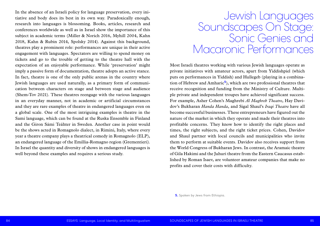Most Israeli theatres working with various Jewish languages operate as private initiatives with amateur actors, apart from Yiddishpiel (which puts on performances in Yiddish) and Hullegeb (playing in a combination of Hebrew and Amharic**<sup>5</sup>**), which are two professional theatres that receive recognition and funding from the Ministry of Culture. Multiple private and independent troupes have achieved significant success. For example, Asher Cohen's Maghrebi *Al Maghreb Theatre*, Hay Davidov's Bukharan *Handa Handa*, and Sigal Shaul's *Iraqi Theatre* have all become successful businesses. These entrepreneurs have figured out the nature of the market in which they operate and made their theatres into profitable concerns. They know how to identify the right places and times, the right subjects, and the right ticket prices. Cohen, Davidov and Shaul partner with local councils and municipalities who invite them to perform at suitable events. Davidov also receives support from the World Congress of Bukharan Jews. In contrast, the Aramaic theatre of Gila Hakimi and the Juhuri theatre from the Eastern Caucasus established by Roman Isaev, are volunteer amateur companies that make no profits and cover their costs with difficulty.

In the absence of an Israeli policy for language preservation, every initiative and body does its best in its own way. Paradoxically enough, research into languages is blossoming. Books, articles, research and conferences worldwide as well as in Israel show the importance of this subject in academic terms (Miller & Norich 2016, Myhill 2004, Kahn 2018, Kahn & Rubin 2014, Spolsky 2014). Against this background, theatres play a prominent role: performances are unique in their active engagement with languages. Spectators are willing to spend money on tickets and go to the trouble of getting to the theatre hall with the expectation of an enjoyable performance. While 'preservation' might imply a passive form of documentation, theatre adopts an active stance. In fact, theatre is one of the only public arenas in the country where Jewish languages are used naturally, as a primary form of communication between characters on stage and between stage and audience (Shem-Tov 2021). These theatres reengage with the various languages in an everyday manner, not in academic or artificial circumstances and they are rare examples of theatre in endangered languages even on a global scale. One of the most intriguing examples is theatre in the Sami language, which can be found at the Ruska Ensemble in Finland and the Giron Sámi Teáhter in Sweden. Another case in point would be the shows acted in Romagnolo dialect, in Rimini, Italy, where every year a theatre company plays a theatrical comedy in Romagnolo (ELP), an endangered language of the Emillia-Romagno region (Grementieri). In Israel the quantity and diversity of shows in endangered languages is well beyond these examples and requires a serious study.

**5.** Spoken by Jews from Ethiopia.

Jewish Languages Soundscapes On Stage: Sonic Genies and Macaronic Performances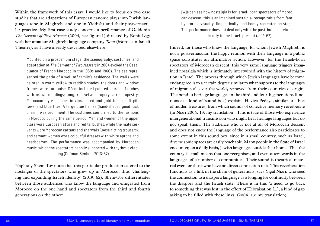[W]e can see how nostalgia is for Israeli-born spectators of Moroccan descent, this is an imagined nostalgia, recognizable from family stories, visually, linguistically, and bodily recreated on stage. This performance does not deal only with the past, but also relates indirectly to the Israeli present (*ibid.*: 62).

Indeed, for those who know the language, for whom Jewish Maghrebi is not a postvernacular, the happy reunion with their language in a public space constitutes an affirmative action. However, for the Israeli-born spectators of Moroccan descent, this very same language triggers imagined nostalgia which is intimately intertwined with the history of migration in Israel. The process through which Jewish languages have become endangered is to a certain degree similar to what happens to the languages of migrants all over the world, removed from their countries of origin. The bond to heritage languages in the third and fourth generations functions as a kind of 'sound box', explains Haviva Pedaya, similar to a box of hidden treasures, from which sounds of collective memory reverberate (in Nizri 2004, 13; my translation). This is true of those who experience intergenerational transmission who might hear heritage languages but do not speak them. The audience who is not at all of Moroccan descent and does not know the language of the performance also participates to some extent in this sound box, since in a small country, such as Israel, diverse sonic spaces are easily reachable. Many people in the State of Israel encounter, on a daily basis, Jewish languages outside their home. That the country is small means that one recognises, and even utters words in the languages of a number of communities. Their sound is theatrical material even for those who have no direct connection to it. This reverberation functions as a link in the chain of generations, says Yigal Nizri, who sees the connection to a diaspora language as a longing for continuity between the diaspora and the Israeli state. There is in this 'a need to go back to something that was lost in the effort of Hebraisation [...], a kind of gap asking to be filled with these links' (2004, 13; my translation).

Within the framework of this essay, I would like to focus on two case studies that are adaptations of European canonic plays into Jewish languages (one in Maghrebi and one in Yiddish) and their postvernacular practice. My first case study concerns a performance of Goldoni's *The Servant of Two Masters* (2004, see figure I) directed by Ronit Ivgy with her amateur Maghrebi language company *Tami* (Moroccan Israeli Theatre), as I have already described elsewhere:

Mounted on a proscenium stage, the scenography, costumes, and adaptation of The Servant of Two Masters in 2004 evoked the Casablanca of French Morocco in the 1950s and 1960s. The set represented the patio of a well-off family's residence. The walls were painted in warm yellow to reddish shades; the doors and window frames were turquoise. Décor included painted murals of arches with crown moldings; long, red velvet drapery; a red tapestry; Moroccan-style benches in vibrant red and gold tones; soft pillows; and blue tiles. A large blue hamsa (hand-shaped good luck charm) was prominent. The costumes conformed to the fashions in Morocco during the same period. Men and women of the upper class wore European attire and red tarbushes, while the male servants wore Moroccan caftans and sharwals (loose-fitting trousers), and servant women wore colourful dresses with white aprons and headscarves. The performance was accompanied by Moroccan music, which the spectators happily supported with rhythmic clapping (Cofman-Simhon, 2013: 52).

Naphtaly Shem-Tov notes that this particular production catered to the nostalgia of the spectators who grew up in Morocco, thus 'challenging and expanding Israeli identity' (2019: 62). Shem-Tov differentiates between those audiences who know the language and emigrated from Morocco on the one hand and spectators from the third and fourth generations on the other: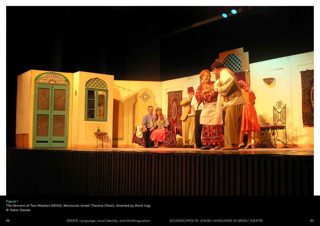

### Figure I

*The Servant of Two Masters* (2004), Moroccan Israeli Theatre (*Tami*), directed by Ronit Ivgy © Yakov Saada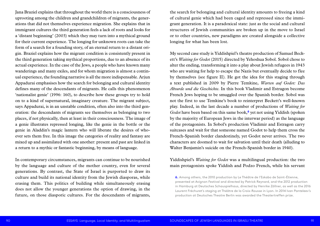the search for belonging and cultural identity amounts to freeing a kind of cultural genie which had been caged and repressed since the immigrant generation. It is a paradoxical state: just as the social and cultural structures of Jewish communities are broken up in the move to Israel or to other countries, new paradigms are created alongside a collective longing for what has been lost.

My second case study is Yiddishpiel's theatre production of Samuel Beckett's *Waiting for Godot* (2015) directed by Yehoshua Sobol. Sobol chose to alter the ending, transforming it into a play about Jewish refugees in 1943 who are waiting for help to escape the Nazis but eventually decide to flee by themselves (see figure II). He got the idea for this staging through a text published in 2009 by Pierre Temkine, *Warten auf Godot: Das Absurde und die Geschichte*. In this book Vladimir and Estragon become French Jews hoping to be smuggled over the Spanish border. Sobol was not the first to use Temkine's book to reinterpret Beckett's well-known play. Indeed, in the last decade a number of productions of *Waiting for Godot* have been based on this same book,**<sup>6</sup>** yet not using Yiddish (spoken by the majority of European Jews in the interwar period) as the language of the protagonists. In Sobol's production Vladimir and Estragon carry suitcases and wait for that someone named Godot to help them cross the French-Spanish border clandestinely, yet Godot never arrives. The two characters are doomed to wait for salvation until their death (alluding to Walter Benjamin's suicide on the French-Spanish border in 1940).

### Yiddishpiel's *Waiting for Godot* was a multilingual production: the two main protagonists spoke Yiddish and Podzo French, while his servant

Jana Braziel explains that throughout the world there is a consciousness of uprooting among the children and grandchildren of migrants, the generations that did not themselves experience migration. She explains that in immigrant cultures the third generation feels a lack of roots and looks for a 'distant beginning' (2003) which they may turn into a mythical ground for their current experience. The longing for unknown roots can take the form of a search for a founding story, of an eternal return to a distant origin. Braziel explains how the migrant condition is consistently present in the third generation taking mythical proportions, due to an absence of its actual experience. In the case of the Jews, a people who have known many wanderings and many exiles, and for whom migration is almost a continual experience, the founding narrative is all the more indispensable. Arjun Appadurai emphasises how the search for belonging and cultural identity defines many of the descendants of migrants. He calls this phenomenon 'nationalist genie' (1996: 160), to describe how these groups try to hold on to a kind of supernatural, imaginary creature. The migrant subject, says Appadurai, is in an unstable condition, often also into the third generation: the descendants of migrants see themselves as belonging to two places, if not physically, then at least in their consciousness. The image of a genie illustrates repressed longing, like the genie in the bottle or the genie in Aladdin's magic lantern who will liberate the desires of whoever sets them free. In this image the categories of reality and fantasy are mixed up and assimilated with one another: present and past are linked in a return to a mythic or fantastic beginning, by means of language.

In contemporary circumstances, migrants can continue to be nourished by the language and culture of the mother country, even for several generations. By contrast, the State of Israel is purported to draw its culture and build its national identity from the Jewish diasporas, while erasing them. This politics of building while simultaneously erasing does not allow the younger generations the option of drawing, in the future, on those diasporic cultures. For the descendants of migrants,

in Hamburg at Deutsches Schauspielhaus, directed by Henrike Zöllner, as well as the 2016 Laurent Fréchuret's staging at Théâtre de la Croix-Rousse in Lyon. In 2014 Ivan Panteleev's

**<sup>6.</sup>** Among others, the 2010 production by Le Théâtre de l'Eskabo de Saint-Étienne, presented at Avignon Festival and directed by Patrick Reynard, and the 2012 production production at Deutsches Theatre Berlin was awarded the Theatertreffen prize.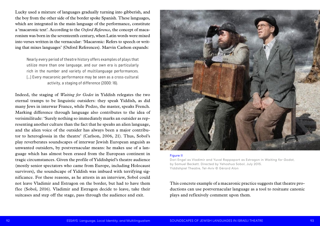This concrete example of a macaronic practice suggests that theatre productions can use postvernacular language as a tool to resituate canonic plays and reflexively comment upon them.

Lucky used a mixture of languages gradually turning into gibberish, and the boy from the other side of the border spoke Spanish. These languages, which are integrated in the main language of the performance, constitute a 'macaronic text'. According to the *Oxford Reference*, the concept of macaronism was born in the seventeenth century, when Latin words were mixed into verses written in the vernacular: 'Macaronic: Refers to speech or writing that mixes languages' (Oxford References). Marvin Carlson expands:

Nearly every period of theatre history offers examples of plays that utilize more than one language, and our own era is particularly rich in the number and variety of multilanguage performances. […] Every macaronic performance may be seen as a cross-cultural activity, a staging of difference (2000: 16).

Indeed, the staging of *Waiting for Godot* in Yiddish relegates the two eternal tramps to be linguistic outsiders: they speak Yiddish, as did many Jews in interwar France, while Podzo, the master, speaks French. Marking difference through language also contributes to the idea of verisimilitude: 'Surely nothing so immediately marks an outsider as representing another culture than the fact that he speaks an alien language, and the alien voice of the outsider has always been a major contributor to heteroglossia in the theatre' (Carlson, 2006, 21). Thus, Sobol's play reverberates soundscapes of interwar Jewish European anguish as unwanted outsiders, by postvernacular means: he makes use of a language which has almost been erased from the European continent in tragic circumstances. Given the profile of Yiddishpiel's theatre audience (mostly senior spectators who came from Europe, including Holocaust survivors), the soundscape of Yiddish was imbued with terrifying significance. For these reasons, as he attests in an interview, Sobol could not leave Vladimir and Estragon on the border, but had to have them flee (Sobol, 2016). Vladimir and Estragon decide to leave, take their suitcases and step off the stage, pass through the audience and exit.



Figure II

Dori Engel as Vladimir and Yuval Rappaport as Estragon in *Waiting for Godot*, by Samuel Beckett. Directed by Yehoshua Sobol, July 2015. Yiddishpiel Theatre, Tel-Aviv © Gérard Alon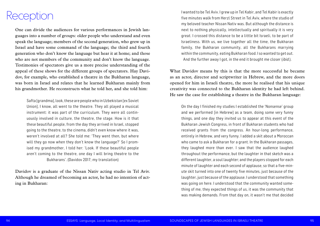I wanted to be Tel Aviv. I grew up in Tel Kabir, and Tel Kabir is exactly five minutes walk from Herzl Street in Tel Aviv, where the studio of my beloved teacher Nissan Nativ was. But although the distance is next to nothing physically, intellectually and spiritually it is very great. I crossed this distance to be a little bit Israeli, to be part of Israeliness. With us, we live together all the time, the Bukharan family, the Bukharan community, all the Bukharans marrying within the community, eating Bukharan food. I so wanted to get out. And the further away I got, in the end it brought me closer (*ibid*.).

What Davidov means by this is that the more successful he became as an actor, director and scriptwriter in Hebrew, and the more doors opened for him in Israeli theatre, the more he realised that his unique creativity was connected to the Bukharan identity he had left behind. He saw the case for establishing a theatre in the Bukharan language:

On the day I finished my studies I established the 'Nonsense' group and we performed [in Hebrew] as a team, doing some very funny things, and one day they invited us to appear at this event of the Bukharan Jewish Congress, in front of Bukharan students who had received grants from the congress. An hour-long performance, entirely in Hebrew, and very funny. I added a skit about a Moroccan who came to ask a Bukharan for a grant. In the Bukharan passages, they laughed more than ever. I saw that the audience laughed throughout the performance, but the laughter in that sketch was a different laughter, a soul laughter; and the players stopped for each minute of laughter and each second of applause, so that a five-minute skit turned into one of twenty five minutes, just because of the laughter, just because of the applause. I understood that something was going on here. I understood that the community wanted something of me, they expected things of us, it was the community that was making demands. From that day on, it wasn't me that decided

One can divide the audiences for various performances in Jewish languages into a number of groups: older people who understand and even speak the language; members of the second generation, who grew up in Israel and have some command of the language; the third and fourth generation who don't know the language but hear it at home; and those who are not members of the community and don't know the language. Testimonies of spectators give us a more precise understanding of the appeal of these shows for the different groups of spectators. Hay Davidov, for example, who established a theatre in the Bukharan language, was born in Israel and relates that he learned Bukharan mainly from his grandmother. He reconstructs what he told her, and she told him:

Safta [grandma], look, these are people who in Uzbekistan [ex Soviet Union], I know, all went to the theatre. They all played a musical instrument: it was part of the curriculum. They were all continuously involved in culture, the theatre, the stage. How is it that these beautiful people, from the day they arrived in Israel, stopped going to the theatre, to the cinema, didn't even know where it was, weren't involved at all? She told me: 'They went then, but where will they go now when they don't know the language?' So I promised my grandmother, I told her: 'Look. If these beautiful people aren't coming to the theatre, one day I will bring theatre to the Bukharans'. (Davidov 2017; my translation)

Davidov is a graduate of the Nissan Nativ acting studio in Tel Aviv. Although he dreamed of becoming an actor, he had no intention of acting in Bukharan:

### Reception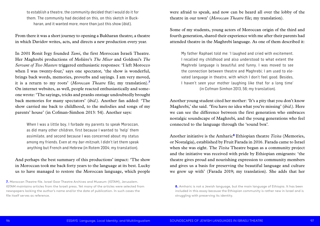were afraid to speak, and now can be heard all over the lobby of the theatre in our town' (*Moroccan Theatre* file; my translation).

Some of my students, young actors of Moroccan origin of the third and fourth generation, shared their experience with me after their parents had attended theatre in the Maghrebi language. As one of them described it:

My father Raphael told me: 'I laughed and cried with excitement. I recalled my childhood and also understood to what extent the Maghrebi language is beautiful and funny. I was moved to see the connection between theatre and Maghrebi; I am used to elevated language in theatre, with which I don't feel good. Besides, I haven't seen your mother laughing like that for a long time' (in Cofman-Simhon 2013, 56; my translation).

Another young student cited her mother: 'It's a pity that you don't know Maghrebi,' she said. 'You have no idea what you're missing' (*ibid*.). Here we can see the difference between the first generation who embraces nostalgic soundscape of Maghrebi, and the young generations who feel connected to the language through the 'sound box'.

Another initiative is the Amharic**<sup>8</sup>** Ethiopian theatre *Tizita* (Memories, or Nostalgia), established by Fruit Farada in 2016. Farada came to Israel when she was eight. The *Tizita* Theatre began as a community project and the initiative was received with pride by Ethiopian emigrants: 'the theatre gives proud and nourishing expression to community members and gives us a basis for preserving the beautiful language and culture we grew up with' (Farada 2019; my translation). She adds that her

to establish a theatre, the community decided that I would do it for them. The community had decided on this, on this sketch in Buckharan, and it wanted more, more than just this show (ibid.).

From there it was a short journey to opening a Bukharan theatre; a theatre in which Davidov writes, acts, and directs a new production every year.

In 2001 Ronit Ivgy founded *Tami*, the first Moroccan Israeli Theatre. Her Maghrebi productions of Molière's *The Miser* and Goldoni's *The Servant of Two Masters* triggered enthusiastic responses: 'I left Morocco when I was twenty-four,' says one spectator, 'the show is wonderful, brings back words, memories, proverbs and sayings. I am very moved, it is a return to my roots' (*Moroccan Theatre* file; my translation).**<sup>7</sup>** On internet websites, as well, people reacted enthusiastically and someone wrote: 'The sayings, tricks and pranks onstage undoubtedly brought back memories for many spectators' (*ibid*.). Another fan added: 'The show carried me back to childhood, to the melodies and songs of my parents' house' (in Cofman-Simhon 2013: 54). Another says:

When I was a little boy, I forbade my parents to speak Moroccan, as did many other children, first because I wanted to 'help' them assimilate, and second because I was concerned about my status among my friends. Even at my bar-mitzvah, I didn't let them speak anything but French and Hebrew (in Rotem 2004; my translation).

And perhaps the best summary of this productions' impact: 'The show in Moroccan took me back forty years to the language at its best. Lucky us to have managed to restore the Moroccan language, which people

**<sup>8.</sup>** Amharic is not a Jewish language, but the main language of Ethiopia. It has been included in this essay because the Ethiopian community is rather new in Israel and is struggling with preserving its identity.

**<sup>7.</sup>** *Moroccan Theatre* file. Israel Goor Theatre Archives and Museum (IGTAM), Jerusalem. IGTAM maintains articles from the Israeli press. Yet many of the articles were selected from newspapers lacking the author's name and/or the date of publication. In such cases the file itself serves as reference.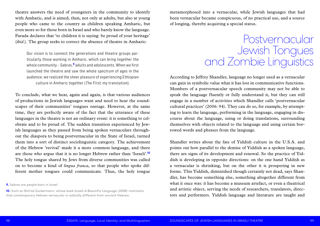metamorphosed into a vernacular, while Jewish languages that had been vernacular became conspicuous, of no practical use, and a source of longing, thereby acquiring a special status.

According to Jeffrey Shandler, language no longer used as a vernacular can gain in symbolic value what it has lost in communicative functions. Members of a postvernacular speech community may not be able to speak the language fluently or fully understand it, but they can still engage in a number of activities which Shandler calls 'postvernacular cultural practices' (2006: 94). They can do so, for example, by attempting to learn the language, performing in the language, engaging in discourse about the language, using or doing translations, surrounding themselves with objects related to the language and using certain borrowed words and phrases from the language.

Shandler writes about the fate of Yiddish culture in the U.S.A. and points out how parallel to the demise of Yiddish as a spoken language, there are signs of its development and renewal. So the practice of Yiddish is developing in opposite directions: on the one hand Yiddish as a vernacular is shrinking, but on the other it is prospering in new forms. This Yiddish, diminished though certainly not dead, says Shandler, has become something else, something altogether different from what it once was: it has become a museum artefact, or even a theatrical and artistic object, serving the needs of researchers, translators, directors and performers. Yiddish language and literature are taught and

theatre answers the need of youngsters in the community to identify with Amharic, and is aimed, then, not only at adults, but also at young people who came to the country as children speaking Amharic, but even more so for those born in Israel and who barely know the language. Farada declares that 'to children it is saying: be proud of your heritage' (*ibid*.). The group seeks to correct the absence of theatre in Amharic:

Our vision is to connect the generations and theatre groups particularly those working in Amharic, which can bring together the whole community – Sabras,**9** adults and adolescents. When we first launched the theatre and saw the whole spectrum of ages in the audience, we realized the sheer pleasure of experiencing Ethiopian culture in Amharic together (The First; my translation).

To conclude, what we hear, again and again, is that various audiences of productions in Jewish languages want and need to hear the soundscapes of their communities' tongues onstage. However, at the same time, they are perfectly aware of the fact that the utterance of these languages in the theatre is not an ordinary event: it is something to celebrate and to be proud of. The sudden transition experienced by Jewish languages as they passed from being spoken vernaculars throughout the diaspora to being postvernacular in the State of Israel, turned them into a sort of distinct sociolinguistic category. The achievement of the Hebrew 'revival' made it a more common language, and there are those who argue that it is no longer Hebrew rather than 'Israeli'.**<sup>10</sup>** The holy tongue shared by Jews from diverse communities was called on to become a kind of *lingua franca*, so that people who spoke different mother tongues could communicate. Thus, the holy tongue

Postvernacular Jewish Tongues and Zombie Linguistics

**9.** Sabras are people born in Israel.

**10.** Such as Ghil'ad Zuckermann, whose book *Israeli–A Beautiful Language* (2008) maintains that contemporary Hebrew vernacular is radically different from ancient Hebrew.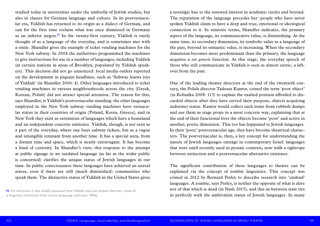a nostalgic hue to the renewed interest in academic circles and beyond. The reputation of the language precedes her: people who have never spoken Yiddish claim to have a deep and true, emotional or ideological connection to it. In semiotic terms, Shandler indicates, the primary aspect of the language, its communicative value, is diminishing. At the same time, its secondary dimension, its symbolic value as a language of the past, beyond its semantic value, is increasing. When the secondary dimension becomes more predominant than the primary, the language acquires a *sui generis* function. At this stage, the everyday speech of those who still communicate in Yiddish is seen as almost exotic, a leftover from the past.

One of the leading theatre directors at the end of the twentieth century, the Polish director Tadeusz Kantor, coined the term 'poor object' (in Kobialka 2008: 113) to explain the exalted position afforded to discarded objects after they have served their purpose, objects acquiring indistinct status. Kantor would collect such items from rubbish dumps and use them as stage props in a most concrete way, explaining that at the end of their functional lives the objects become 'poor' and active in another, poetic dimension. This too has happened to Jewish languages. In their 'poor,' postvernacular age, they have become theatrical characters. The postvernacular is, then, a key concept for understanding the nature of Jewish languages onstage in contemporary Israel: languages that were until recently used in prosaic contexts, now walk a tightrope between extinction and a postvernacular alternative existence.

The significant contribution of these languages to theatre can be explained via the concept of zombie linguistics. This concept was coined in 2012 by Bernard Perley to describe research into 'undead' languages. A zombie, says Perley, is neither the opposite of what is alive nor of that which is dead (in Nash 2013), and this in-between state ties in perfectly with the ambivalent status of Jewish languages. In many

studied today in universities under the umbrella of Jewish studies, but also in classes for German language and culture. In its postvernacular era, Yiddish has returned to its origin as a dialect of German, and can for the first time reclaim what was once dismissed in Germany as an inferior jargon.**<sup>11</sup>** In the twenty-first century, Yiddish is rarely thought of as a language of the everyday, and is sometimes met with a smile. Shandler gives the example of ticket vending machines for the New York subway. In 2004 the authorities programmed the machines to give instructions for use in a number of languages, including Yiddish (at certain stations in areas of Brooklyn, populated by Yiddish speakers). This decision did not go unnoticed: local media outlets reported on the development in piquant headlines, such as 'Subway learns joys of Yiddish' (in Shandler 2006: 4). Other languages introduced to ticket vending machines in various neighbourhoods across the city (Greek, Korean, Polish) did not attract special attention. The reason for this, says Shandler, is Yiddish's postvernacular standing: the other languages employed in the New York subway vending machines have vernacular status in their countries of origin (Poland, Korea, Greece), and in New York they exist as extensions of languages which have a homeland and an independent concrete existence. Yiddish, though, is not seen as a part of the everyday, where one buys subway tickets, but as a vague and intangible remnant from another time. It has a special aura, from a distant time and space, which is nearly extravagant. It has become a kind of curiosity. In Shandler's view, this response to the attempt at public signage in an outdated language (as far as the wider public is concerned) clarifies the unique status of Jewish languages in our time. In public consciousness these languages have achieved an unreal status, even if there are still (much diminished) communities who speak them. The distinctive status of Yiddish in the United States gives

**11.** For centuries it was widely assumed that Yiddish was just broken German, more of a linguistic mishmash than a true language (Johnson, 1996).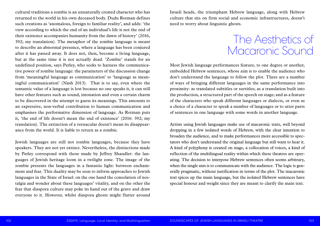Israeli heads, the triumphant Hebrew language, along with Hebrew culture that sits on firm social and economic infrastructures, doesn't need to worry about linguistic ghosts.

Most Jewish language performances feature, to one degree or another, embedded Hebrew sentences, whose aim is to enable the audience who don't understand the language to follow the plot. There are a number of ways of bringing different languages in the same performance into proximity: as translated subtitles or surtitles; as a translation built into the production, a structured part of the speech on stage; and as a feature of the characters who speak different languages or dialects, or even as a choice of a character to speak a number of languages or to utter parts of sentences in one language with some words in another language.

Artists using Jewish languages make use of macaronic texts, well beyond dropping in a few isolated words of Hebrew, with the clear intention to broaden the audience, and to make performances more accessible to spectators who don't understand the original language but still want to hear it. A kind of polyphony is created on stage, a collocation of voices, a kind of reflection of the multilingual reality within which these theatres are operating. The decision to interpose Hebrew sentences often seems arbitrary, when the single aim is to communicate with the audience. The logic is generally pragmatic, without justification in terms of the plot. The macaronic text spices up the main language, but the isolated Hebrew sentences have special honour and weight since they are meant to clarify the main text.

cultural traditions a zombie is an unnaturally created character who has returned to the world in his own deceased body. Dudu Rotman defines such creations as 'anomalous, foreign to familiar reality', and adds: 'the view according to which the end of an individual's life is not the end of their existence accompanies humanity from the dawn of history' (2016, 392; my translation). The metaphor of the zombie language is meant to describe an abnormal presence, where a language has been conjured after it has passed away. It does not, then, become a living language, but at the same time it is not actually dead. 'Zombie' stands for an undefined position, says Perley, who seeks to harness the communicative power of zombie language: the parameters of the discussion change from 'meaningful language as communication' to 'language as meaningful communication' (Nash 2013). That is to say, even where the semantic value of a language is lost because no one speaks it, it can still have other features such as sound, intonation and even a certain charm to be discovered in the attempt to guess its meanings. This amounts to an expressive, non-verbal contribution to human communication and emphasises the performative dimension of language. As Rotman puts it, 'the end of life doesn't mean the end of existence' (2016: 392; my translation). The extinction of a vernacular doesn't mean its disappearance from the world. It is liable to return as a zombie.

Jewish languages are still not zombie languages, because they have speakers. They are not yet extinct. Nevertheless, the distinctions made by Perley correspond with those made by Jeffrey Shandler: the languages of Jewish heritage loom in a twilight zone. The image of the zombie presents the languages in a fantastic light: between enchantment and fear. This duality may be seen to inform approaches to Jewish languages in the State of Israel: on the one hand the consolation of nostalgia and wonder about these languages' vitality, and on the other the fear that diaspora culture may poke its hand out of the grave and draw everyone to it. However, whilst diaspora ghosts might flutter around

### The Aesthetics of Macaronic Sound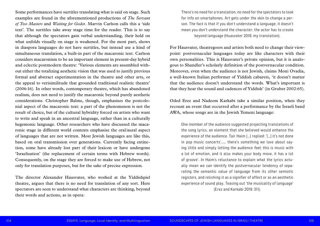There's no need for a translation, no need for the spectators to look for info on smartphones. Art gets under the skin to change a person. The fact is that if you don't understand a language, it doesn't mean you don't understand the character; the actor has to create beyond language (Huasvater 2018; my translation).

For Hausvater, theatregoers and artists both need to change their viewpoint: postvernacular languages today are like characters with their own personalities. This is Hausvater's private opinion, but it is analogous to Shandler's scholarly definition of the postvernacular condition. Moreover, even when the audience is not Jewish, claims Moni Ovadia, a well-known Italian performer of Yiddish cabarets, 'it doesn't matter that the audience doesn't understand the words. What's important is that they hear the sound and cadences of Yiddish' (in Gruber 2002:65).

Oded Erez and Nadeem Karkabi take a similar position, when they recount an event that occurred after a performance by the Israeli band AWA, whose songs are in the Jewish Yemeni language:

One member of the audience suggested projecting translations of the song lyrics, an element that she believed would enhance the experience of the audience. Tair Haim […] replied: '[…] it's not done in pop music concerts'…… there's something we love about saying little and simply letting the audience *feel*; this is music with a lot of emotion, and it also makes your body move, it has a lot of groove'. In Haim's reluctance to explain what the lyrics actually mean we can identify the postvernacular tendency of separating the semantic value of language from its other semiotic registers, and relishing it as a signifier of affect or as an aesthetic experience of sound play. Teasing out 'the musicality of language' (Erez and Karkabi 2019: 311).

Some performances have surtitles translating what is said on stage. Such examples are found in the aforementioned productions of *The Servant of Two Masters* and *Waiting for Godot*. Marvin Carlson calls this a 'side text'. The surtitles take away stage time for the reader. This is to say that although the spectators gain verbal understanding, their hold on what unfolds visually on stage is weakened. For the most part, shows in diaspora languages do not have surtitles, but instead use a kind of simultaneous translation, a built-in part of the macaronic text. Carlson considers macaronism to be an important element in present-day hybrid and eclectic postmodern theatre: 'Various elements are assembled without either the totalizing aesthetic vision that was used to justify previous formal and abstract experimentation in the theatre and other arts, or the appeal to verisimilitude that grounded traditional realistic theatre' (2006:16). In other words, contemporary theatre, which has abandoned realism, does not need to justify the macaronic beyond purely aesthetic considerations. Christopher Balme, though, emphasises the postcolonial aspect of the macaronic text: a part of the phenomenon is not the result of choice, but of the cultural hybridity forced on artists who want to write and speak in an ancestral language, rather than in a culturally hegemonic language. Other researchers who have discussed the macaronic stage in different world contexts emphasise the oral/aural aspect of languages that are not written. Most Jewish languages are like this, based on oral transmission over generations. Currently facing extinction, some have already lost part of their lexicon or have undergone 'Israelisation' (the replacement of certain terms with Hebrew words). Consequently, on the stage they are forced to make use of Hebrew, not only for translation purposes, but for the sake of precise expression.

The director Alexander Hausvater, who worked at the Yiddishpiel theatre, argues that there is no need for translation of any sort. Here spectators are seen to understand what characters are thinking, beyond their words and actions, as in opera: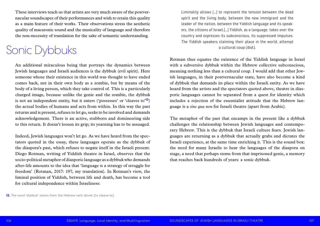Liminality allows […] to represent the tension between the dead spirit and the living body, between the new immigrant and the leader of the nation, between the Yiddish language and its speakers, the citizens of Israel.[…] Yiddish, as a language, takes over the country and expresses its subconscious, its suppressed impulses. The Yiddish speakers claiming their place in the world, attempt a cultural coup (ibid.).

Rotman thus equates the existence of the Yiddish language in Israel with a subversive dybbuk within the Hebrew collective subconscious, meaning nothing less than a cultural coup. I would add that other Jewish languages, in their postvernacular state, have also become a kind of dybbuk that demands its place within the Israeli entity. As we have heard from the artists and the spectators quoted above, theatre in diasporic languages cannot be separated from a quest for identity which includes a rejection of the essentialist attitude that the Hebrew language is a *sine qua non* for Israeli theatre (apart from Arabic).

The metaphor of the past that encamps in the present like a dybbuk challenges the relationship between Jewish languages and contemporary Hebrew. This is the dybbuk that Israeli culture fears. Jewish languages are returning as a dybbuk that actually grabs and dictates the Israeli experience, at the same time enriching it. This is the sound box: the need for many Israelis to hear the languages of the diaspora on stage, a need that perhaps stems from that imprisoned genie, a memory that reaches back hundreds of years: a sonic dybbuk.

These interviews teach us that artists are very much aware of the postvernacular soundscapes of their performances and wish to retain this quality as a main feature of their works. Their observations stress the aesthetic quality of macaronic sound and the musicality of language and therefore the non-necessity of translation for the sake of semantic understanding.

An additional miraculous being that portrays the dynamics between Jewish languages and Israeli audiences is the dybbuk (evil spirit). Here someone whose their existence in this world was thought to have ended comes back, not in their own body as a zombie, but by means of the body of a living person, which they take control of. This is a particularly charged image, because unlike the genie and the zombie, the dybbuk is not an independent entity, but it enters ('possesses' or 'cleaves to'**<sup>12</sup>**) the actual bodies of humans and acts from within. In this way the past returns and is present, refuses to let go, seeks to be involved and demands acknowledgement. There is an active, stubborn and domineering side to this return. It doesn't loosen its grip; its yearning has to be assuaged.

Indeed, Jewish languages won't let go. As we have heard from the spectators quoted in the essay, these languages operate as the dybbuk of the diaspora's past, which refuses to negate itself in the Israeli present. Diego Rotman, writing of Yiddish theatre in Israel, observes that the socio-political metaphor of diasporic language as a dybbuk who demands after-life amounts to the idea that 'language is a strategy of struggle for freedom' (Rotman, 2017: 197, my translation). In Rotman's view, the liminal position of Yiddish, between life and death, has become a tool for cultural independence within Israeliness:

### Sonic Dybbuks

**12.** The word 'dybbuk' stems from the Hebrew verb davek [to cleave to].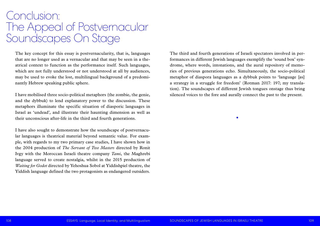The third and fourth generations of Israeli spectators involved in performances in different Jewish languages exemplify the 'sound box' syndrome, where words, intonations, and the aural repository of memories of previous generations echo. Simultaneously, the socio-political metaphor of diaspora languages as a dybbuk points to 'language [as] a strategy in a struggle for freedom' (Rotman 2017: 197; my translation). The soundscapes of different Jewish tongues onstage thus bring silenced voices to the fore and aurally connect the past to the present.

•

The key concept for this essay is postvernacularity, that is, languages that are no longer used as a vernacular and that may be seen in a theatrical context to function as the performance itself. Such languages, which are not fully understood or not understood at all by audiences, may be used to evoke the lost, multilingual background of a predominantly Hebrew speaking public sphere.

### Conclusion: The Appeal of Postvernacular Soundscapes On Stage

I have mobilised three socio-political metaphors (the zombie, the genie, and the dybbuk) to lend explanatory power to the discussion. These metaphors illuminate the specific situation of diasporic languages in Israel as 'undead', and illustrate their haunting dimension as well as their unconscious after-life in the third and fourth generations.

I have also sought to demonstrate how the soundscape of postvernacular languages is theatrical material beyond semantic value. For example, with regards to my two primary case studies, I have shown how in the 2004 production of *The Servant of Two Masters* directed by Ronit Ivgy with the Moroccan Israeli theatre company *Tami*, the Maghrebi language served to create nostalgia, whilst in the 2015 production of *Waiting for Godot* directed by Yehoshua Sobol at Yiddishpiel theatre, the Yiddish language defined the two protagonists as endangered outsiders.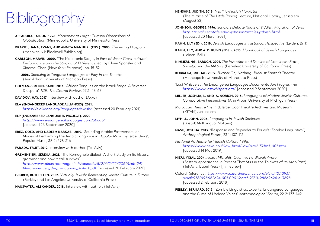**KAHN, LILY (ED.). 2018.** *Jewish Languages in Historical Perspective* (Leiden: Brill)

**MILLER, JOSHUA, L. AND A. NORICH. 2016.** *Languages of Modern Jewish Cultures:* 

- **HENSHKE, JUDITH. 2019.** *Nes 'Ha-Nasich Ha-Katan'*  (The Miracle of *The Little Prince*) Lecture, National Library, Jerusalem (August 22)
- **JOHNSON, GEORGE. 1996.** *Scholars Debate Roots of Yiddish, Migration of Jews <http://tuvalu.santafe.edu/~johnson/articles.yiddish.html>* [accessed 20 March 2021]
- 
- **KAHN, LILY, AND A. D. RUBIN (EDS.). 2015.** *Handbook of Jewish Languages*  (Leiden: Brill)
- **KIMMERLING, BARUCH. 2001.** *The Invention and Decline of Israeliness: State, Society, and the Military* (Berkeley: University of California Press)
- **KOBIALKA, MICHAL. 2009.** *Further On, Nothing: Tadeusz Kantor's Theatre*  (Minneapolis: University of Minnesota Press)
- 'Last Whispers'. *The Endangered Languages Documentation Programme <https://www.lastwhispers.org/>*[accessed 9 September 2020]
- *Comparative Perspectives* (Ann Arbor: University of Michigan Press)
- *Moroccan Theatre File*. n.d. Israel Goor Theatre Archives and Museum (IGTAM), Jerusalem
- **MYHILL, JOHN. 2004.** *Languages in Jewish Societies*  (Bristol: Multilingual Matters)
- **NASH, JOSHUA. 2013.** 'Response and Rejoinder to Perley's 'Zombie Linguistics'', *Anthropological Forum*, 23.1: 107-113
- *National Authority for Yiddish Culture*. 1996. *[https://www.nevo.co.il/law\\_html/Law01/p213k1m1\\_001.htm](https://www.nevo.co.il/law_html/Law01/p213k1m1_001.htm)*  [accessed 14 May 2019]
- **NIZRI, YIGAL. 2004.** *Hazut Mizrahit: Oveh Ha'na Bi'svah Avaro*  (Tel-Aviv: Babel Press) [in Hebrew]
- Oxford Reference *[https://www.oxfordreference.com/view/10.1093/](https://www.oxfordreference.com/view/10.1093/acref/9780198662624.001.0001/acref-9780198662624-e-3698) [acref/9780198662624.001.0001/acref-9780198662624-e-3698](https://www.oxfordreference.com/view/10.1093/acref/9780198662624.001.0001/acref-9780198662624-e-3698)* [accessed 2 February 2018]
- **PERLEY, BERNARD. 2012.** 'Zombie Linguistics: Experts, Endangered Languages and the Curse of Undead Voices', *Anthropological Forum*, 22.2: 133-149

(Eastern Appearance: a Present That Stirs in the Thickets of its Arab Past)

- **APPADURAI, ARJUN. 1996.** *Modernity at Large: Cultural Dimensions of Globalization* (Minneapolis: University of Minnesota Press)
- **BRAZIEL, JANA, EVANS, AND ANNITA MANNUR. (EDS.). 2003.** *Theorizing Diaspora* (Hoboken NJ: Blackwell Publishing)
- **CARLSON, MARVIN. 2000.** 'The Macaronic Stage', in *East of West: Cross-cultural Performance and the Staging of Difference*, ed. by Claire Sponsler and Xiaomei Chen (New York: Palgrave), pp. 15-32
- **—— 2006.** *Speaking in Tongues: Languages at Play in the Theatre* (Ann Arbor: University of Michigan Press)
- **COFMAN-SIMHON, SARIT. 2013.** 'African Tongues on the Israeli Stage: A Reversed Diaspora', *TDR: The Drama Review*, 57.3: 48-68
- **DAVIDOV, HAY. 2017.** Interview with author (Akko)
- **ELA (ENDANGERED LANGUAGE ALLIANCES). 2021.** *<https://elalliance.org/languages/jewish/>*[accessed 20 February 2021]
- **ELP (ENDANGERED LANGUAGES PROJECT). 2020.** *<http://www.endangeredlanguages.com/about/>* [accessed 26 September 2020]
- **EREZ, ODED, AND NADEEM KARKABI. 2019.** 'Sounding Arabic: Postvernacular Modes of Performing the Arabic Language in *Popular Music* by Israeli Jews', Popular Music, 38.2: 298-316
- **FARADA, FRUIT. 2019.** Interview with author (Tel-Aviv)
- **GREMENTIERI, SERENA. 2021.** 'The Romagnolo dialect. A short study on its history, grammar and how it still survives'. *[http://www.dialettoromagnolo.it/uploads/5/2/4/2/52420601/pb-241](http://www.dialettoromagnolo.it/uploads/5/2/4/2/52420601/pb-241-file-grementieri_the_romagnolo_dialect.pdf) [file-grementieri\\_the\\_romagnolo\\_dialect.pdf](http://www.dialettoromagnolo.it/uploads/5/2/4/2/52420601/pb-241-file-grementieri_the_romagnolo_dialect.pdf)* [accessed 20 February 2021]
- **GRUBER, RUTH ELLEN. 2002.** *Virtually Jewish: Reinventing Jewish Culture in Europe*  (Berkley and Los Angeles: University of California Press)
- **HAUSVATER, ALEXANDER. 2018.** Interview with author, (Tel-Aviv)

# Bibliography